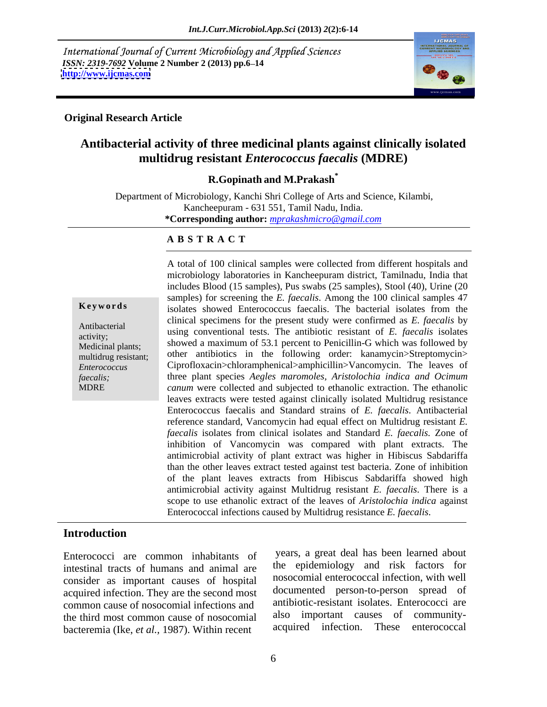International Journal of Current Microbiology and Applied Sciences *ISSN: 2319-7692 Volume 2 Number 2 (2013) pp.6–14 http://www.ijcmas.com* **<http://www.ijcmas.com>**



### **Original Research Article**

# **Antibacterial activity of three medicinal plants against clinically isolated multidrug resistant** *Enterococcus faecalis* **(MDRE)**

**R.Gopinath and M.Prakash\***

Department of Microbiology, Kanchi Shri College of Arts and Science, Kilambi, Kancheepuram - 631 551, Tamil Nadu, India. **\*Corresponding author:** *mprakashmicro@gmail.com*

### **A B S T R A C T**

**Keywords** isolates showed Enterococcus faecalis. The bacterial isolates from the Antibacterial using conventional tests. The antibiotic resistant of *E. faecalis* isolates activity; assume that the set of the antional resistant of E. Jacques Isolates Medicinal plants; showed a maximum of 53.1 percent to Penicillin-G which was followed by multidrug resistant; other antibiotics in the following order: kanamycin>Streptomycin> *Enterococcus*  Ciprofloxacin>chloramphenical>amphicillin>Vancomycin. The leaves of *faecalis;* three plant species *Aegles maromoles, Aristolochia indica and Ocimum*  MDRE *canum* were collected and subjected to ethanolic extraction. The ethanolic A total of 100 clinical samples were collected from different hospitals and microbiology laboratories in Kancheepuram district, Tamilnadu, India that includes Blood (15 samples), Pus swabs (25 samples), Stool (40), Urine (20 samples) for screening the *E. faecalis*. Among the 100 clinical samples 47 clinical specimens for the present study were confirmed as *E. faecalis* by leaves extracts were tested against clinically isolated Multidrug resistance Enterococcus faecalis and Standard strains of *E. faecalis*. Antibacterial reference standard, Vancomycin had equal effect on Multidrug resistant *E. faecalis* isolates from clinical isolates and Standard *E. faecalis.* Zone of inhibition of Vancomycin was compared with plant extracts. The antimicrobial activity of plant extract was higher in Hibiscus Sabdariffa than the other leaves extract tested against test bacteria. Zone of inhibition of the plant leaves extracts from Hibiscus Sabdariffa showed high antimicrobial activity against Multidrug resistant *E. faecalis*.There is a scope to use ethanolic extract of the leaves of *Aristolochia indica* against Enterococcal infections caused by Multidrug resistance *E. faecalis*.

## **Introduction**

Enterococci are common inhabitants of intestinal tracts of humans and animal are consider as important causes of hospital acquired infection. They are the second most common cause of nosocomial infections and<br>the third most common cause of nosocomial also important causes of communitythe third most common cause of nosocomial also important causes of community-<br>hacteremia (Ike et al. 1987) Within recent acquired infection. These enterococcal bacteremia (Ike, *et al.,* 1987). Within recent

years, a great deal has been learned about the epidemiology and risk factors for nosocomial enterococcal infection, with well documented person-to-person spread of antibiotic-resistant isolates. Enterococci are also important causes of acquired infection. These enterococcal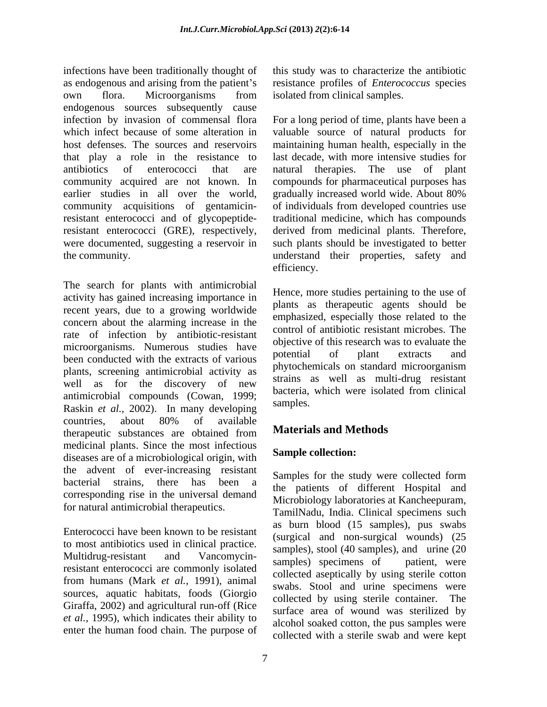infections have been traditionally thought of this study was to characterize the antibiotic as endogenous and arising from the patient's own flora. Microorganisms from isolated from clinical samples. endogenous sources subsequently cause<br>infection by invasion of commensal flora infection by invasion of commensal flora For a long period of time, plants have been a which infect because of some alteration in valuable source of natural products for host defenses. The sources and reservoirs maintaining human health, especially in the that play a role in the resistance to antibiotics of enterococci that are natural therapies. The use of plant community acquired are not known. In compounds for pharmaceutical purposes has earlier studies in all over the world, gradually increased world wide. About 80% community acquisitions of gentamicinresistant enterococci and of glycopeptide-traditional medicine, which has compounds resistant enterococci (GRE), respectively, derived from medicinal plants. Therefore, were documented, suggesting a reservoir in the community. understand their properties, safety and

The search for plants with antimicrobial activity has gained increasing importance in recent years, due to a growing worldwide concern about the alarming increase in the rate of infection by antibiotic-resistant microorganisms. Numerous studies have objective of this research was to evaluate the been conducted with the extracts of various plants, screening antimicrobial activity as well as for the discovery of new strains as well as inditi-ding resistant antimicrobial compounds (Cowan, 1999;  $\frac{64 \times 1000}{\text{samples}}$ Raskin *et al.,* 2002). In many developing countries, about 80% of available therapeutic substances are obtained from **Materials and Methods** medicinal plants. Since the most infectious diseases are of a microbiological origin, with the advent of ever-increasing resistant bacterial strains, there has been a corresponding rise in the universal demand for natural antimicrobial therapeutics.

Enterococci have been known to be resistant to most antibiotics used in clinical practice. multidrug-resistant and vancomycin-<br>resistant enterococci are commonly isolated<br> $\frac{1}{2}$  is the definition of the definition of the definition of the definition of the definition of the definition of the definition of the from humans (Mark *et al.,* 1991), animal sources, aquatic habitats, foods (Giorgio Giraffa, 2002) and agricultural run-off (Rice *et al.,* 1995), which indicates their ability to enter the human food chain. The purpose of

resistance profiles of *Enterococcus* species isolated from clinical samples.

last decade, with more intensive studies for natural therapies. The use of plant gradually increased world wide. About 80% of individuals from developed countries use such plants should be investigated to better efficiency.

Hence, more studies pertaining to the use of plants as therapeutic agents should be emphasized, especially those related to the control of antibiotic resistant microbes. The objective of this research was to evaluate the potential of plant extracts and phytochemicals on standard microorganism strains as well as multi-drug resistant bacteria, which were isolated from clinical samples.

# **Materials and Methods**

### **Sample collection:**

Multidrug-resistant and Vancomycin-<br>samples) specimens of patient were Samples for the study were collected form the patients of different Hospital and Microbiology laboratories at Kancheepuram, TamilNadu, India. Clinical specimens such as burn blood (15 samples), pus swabs (surgical and non-surgical wounds) (25 samples), stool (40 samples), and urine (20 samples) specimens of patient, were collected aseptically by using sterile cotton swabs. Stool and urine specimens were collected by using sterile container. The surface area of wound was sterilized by alcohol soaked cotton, the pus samples were collected with a sterile swab and were kept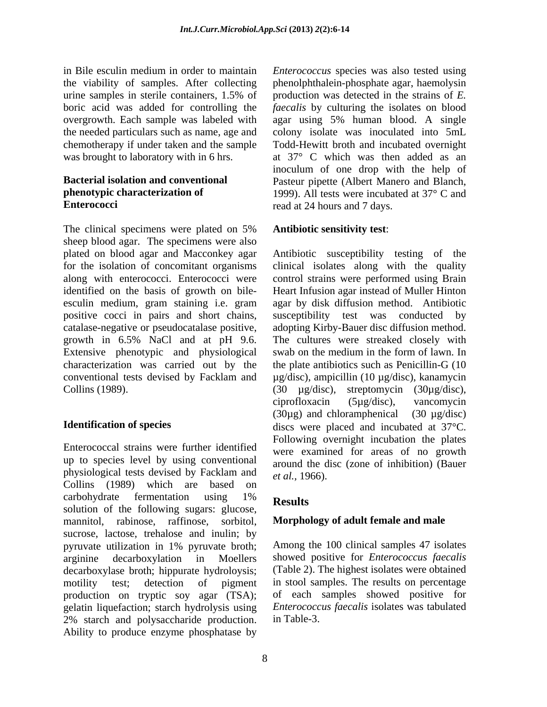The clinical specimens were plated on 5% Antibiotic sensitivity test: sheep blood agar. The specimens were also plated on blood agar and Macconkey agar Antibiotic susceptibility testing of the for the isolation of concomitant organisms clinical isolates along with the quality along with enterococci. Enterococci were control strains were performed using Brain identified on the basis of growth on bile- Heart Infusion agar instead of Muller Hinton esculin medium, gram staining i.e. gram agar by disk diffusion method. Antibiotic positive cocci in pairs and short chains, susceptibility test was conducted by catalase-negative or pseudocatalase positive, adopting Kirby-Bauer disc diffusion method. growth in 6.5% NaCl and at pH 9.6. The cultures were streaked closely with Extensive phenotypic and physiological characterization was carried out by the the plate antibiotics such as Penicillin-G (10 conventional tests devised by Facklam and µg/disc), ampicillin (10 µg/disc), kanamycin Collins (1989). (30 µg/disc), streptomycin (30µg/disc),

Enterococcal strains were further identified up to species level by using conventional physiological tests devised by Facklam and Collins (1989) which are based on carbohydrate fermentation using  $1\%$   $\mathbf{p}_{\text{oscults}}$ carbonydrate remientation using  $1\%$  Results solution of the following sugars: glucose, mannitol, rabinose, raffinose, sorbitol, sucrose, lactose, trehalose and inulin; by pyruvate utilization in 1% pyruvate broth; arginine decarboxylation in Moellers showed positive for *Enterococcus faecalis* decarboxylase broth; hippurate hydroloysis; motility test; detection of pigment in stool samples. The results on percentage production on tryptic soy agar (TSA); gelatin liquefaction; starch hydrolysis using 2% starch and polysaccharide production. Ability to produce enzyme phosphatase by

in Bile esculin medium in order to maintain *Enterococcus* species was also tested using the viability of samples. After collecting phenolphthalein-phosphate agar, haemolysin urine samples in sterile containers,  $1.5\%$  of production was detected in the strains of  $E$ . boric acid was added for controlling the *faecalis* by culturing the isolates on blood overgrowth. Each sample was labeled with agar using 5% human blood. A single the needed particulars such as name, age and colony isolate was inoculated into 5mL chemotherapy if under taken and the sample Todd-Hewitt broth and incubated overnight was brought to laboratory with in 6 hrs.  $\qquad \text{at} \quad 37^{\circ} \quad C \text{ which was then added as an}$ **Bacterial isolation and conventional Pasteur pipette (Albert Manero and Blanch, phenotypic characterization of** 1999). All tests were incubated at 37° C and **Enterococci** read at 24 hours and 7 days. production was detected in the strains of *E.*  inoculum of one drop with the help of Pasteur pipette (Albert Manero and Blanch, 1999). All tests were incubated at 37° <sup>C</sup> and

### **Antibiotic sensitivity test**:

**Identification of species** discs were placed and incubated at 37°C. swab on the medium in the form of lawn. In ciprofloxacin (5µg/disc), vancomycin  $(30\mu$ g) and chloramphenical  $(30 \mu$ g/disc) Following overnight incubation the plates were examined for areas of no growth around the disc (zone of inhibition) (Bauer *et al.,* 1966).

## **Results**

### **Morphology of adult female and male**

Among the 100 clinical samples 47 isolates (Table 2). The highest isolates were obtained of each samples showed positive for *Enterococcus faecalis* isolates was tabulated in Table-3.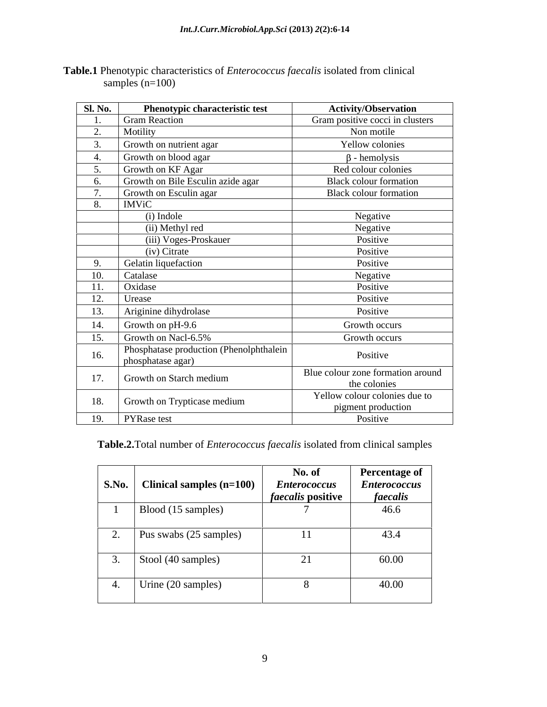| <b>Sl. No.</b> | <b>Phenotypic characteristic test</b>                          | <b>Activity/Observation</b>       |
|----------------|----------------------------------------------------------------|-----------------------------------|
|                | <b>Gram Reaction</b>                                           | Gram positive cocci in clusters   |
|                | Motility                                                       | Non motile                        |
|                | Growth on nutrient agar                                        | Yellow colonies                   |
|                | Growth on blood agar                                           | - hemolysis                       |
|                | Growth on KF Agar                                              | Red colour colonies               |
|                | Growth on Bile Esculin azide agar                              | Black colour formation            |
|                | Growth on Esculin agar                                         | Black colour formation            |
|                | <b>IMViC</b>                                                   |                                   |
|                | (i) Indole                                                     | Negative                          |
|                | (ii) Methyl red                                                | Negative                          |
|                | (iii) Voges-Proskauer                                          | Positive                          |
|                | (iv) Citrate                                                   | Positive                          |
|                | Gelatin liquefaction                                           | Positive                          |
|                | Catalase                                                       | Negative                          |
| 11.            | Oxidase                                                        | Positive                          |
| 12.            | Urease                                                         | Positive                          |
| 13.            | Ariginine dihydrolase                                          | Positive                          |
| 14.            | Growth on pH-9.6                                               | Growth occurs                     |
|                | Growth on Nacl-6.5%                                            | Growth occurs                     |
| 16.            | Phosphatase production (Phenolphthalein  <br>phosphatase agar) | Positive                          |
|                |                                                                | Blue colour zone formation around |
| 17.            | Growth on Starch medium                                        | the colonies                      |
|                |                                                                | Yellow colour colonies due to     |
|                | 18. Growth on Trypticase medium                                | pigment production                |
|                | 19. PYRase test                                                | Positive                          |

**Table.1** Phenotypic characteristics of *Enterococcus faecalis* isolated from clinical samples  $(n=100)$ 

**Table.2.**Total number of *Enterococcus faecalis* isolated from clinical samples

| <b>S.No.</b> | Clinical samples $(n=100)$ | No. of<br><b>Enterococcus</b><br><i>faecalis</i> positive | <b>Percentage of</b><br><b>Enterococcus</b><br>faecalis |
|--------------|----------------------------|-----------------------------------------------------------|---------------------------------------------------------|
|              | Blood (15 samples)         |                                                           | 46.6                                                    |
|              | Pus swabs (25 samples)     | 11                                                        | 43.4                                                    |
|              | Stool (40 samples)         | ∩ 1<br>$\sim$ 1                                           | 60.00                                                   |
|              | Urine (20 samples)         |                                                           | 40.00                                                   |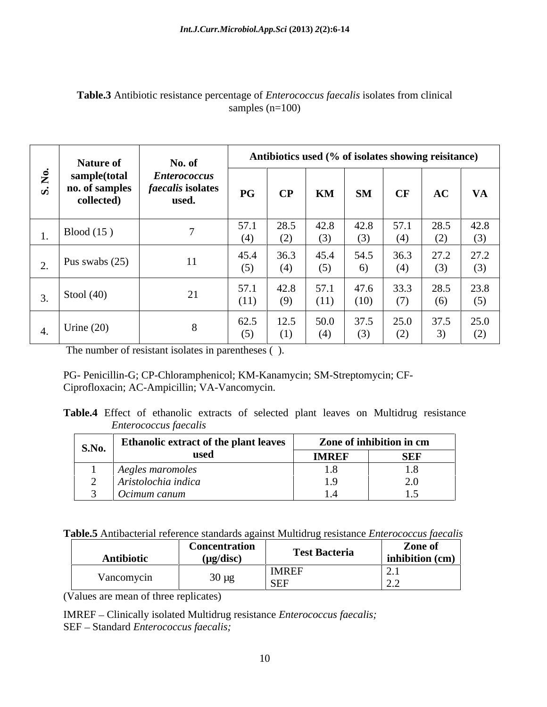|                    | <b>Nature of</b>                             | No. of                                                   |                                   |                           |                     |             | Antibiotics used (% of isolates showing reisitance)                                     |                                   |             |
|--------------------|----------------------------------------------|----------------------------------------------------------|-----------------------------------|---------------------------|---------------------|-------------|-----------------------------------------------------------------------------------------|-----------------------------------|-------------|
|                    | sample(total<br>no. of samples<br>collected) | <i>Enterococcus</i><br><i>faecalis</i> isolates<br>used. | $\overline{\mathbf{P}\mathbf{G}}$ | $\bf CP$                  | $\mid$ KM $\mid$ SM |             | CF                                                                                      | AC                                | $V_{\rm A}$ |
| $\vert$ Blood (15) |                                              |                                                          | 57.1                              | 28.5<br>$\left( 4\right)$ | 42.8                |             | 42.8   57.1   28.5                                                                      |                                   | 42.8        |
|                    | Pus swabs $(25)$                             | 11                                                       | 45.4                              | 36.3                      | 45.4<br>$\cup$      | 54.5        | (4)                                                                                     | $36.3$ 27.2<br>$\left( 5 \right)$ | 27.2<br>(3) |
| Stool $(40)$       |                                              | $\bigcap$ 1<br>$\angle 1$                                | (11)                              | 42.8 57.1<br>(9)          | (11)                | (10)        | $\begin{array}{ c c c c c c c c } \hline &47.6 & 33.3 & 28.5 \hline \end{array}$<br>(7) | (6)                               | 23.8<br>(5) |
| Urine $(20)$       |                                              |                                                          | 62.5                              | 12.5<br>(1)               |                     | $50.0$ 37.5 | (2)                                                                                     | 25.0 37.5 25.0                    | (2)         |

## **Table.3** Antibiotic resistance percentage of *Enterococcus faecalis* isolates from clinical samples  $(n=100)$

The number of resistant isolates in parentheses ( ).

PG- Penicillin-G; CP-Chloramphenicol; KM-Kanamycin; SM-Streptomycin; CF- Ciprofloxacin; AC-Ampicillin; VA-Vancomycin.

| Table.4 Effect<br>Multidrug resistance<br>c extracts of selected plant leaves on<br>of ethanolic |
|--------------------------------------------------------------------------------------------------|
| <i>Enterococcus faecalis</i>                                                                     |

| <b>S.No.</b> | <b>Ethanolic extract of the plant leaves</b> |              | Zone of inhibition in cm |
|--------------|----------------------------------------------|--------------|--------------------------|
|              | www                                          | <b>IMREF</b> | <b>SEF</b>               |
|              | Aegles maromoles                             |              |                          |
|              | Aristolochia indicu                          |              |                          |
|              | Ocimum canum                                 |              |                          |

| st Multidrug resistance <i>Enterococcus faecalis</i> |
|------------------------------------------------------|
|------------------------------------------------------|

(Values are mean of three replicates)

IMREF Clinically isolated Multidrug resistance *Enterococcus faecalis;* SEF - Standard *Enterococcus faecalis*;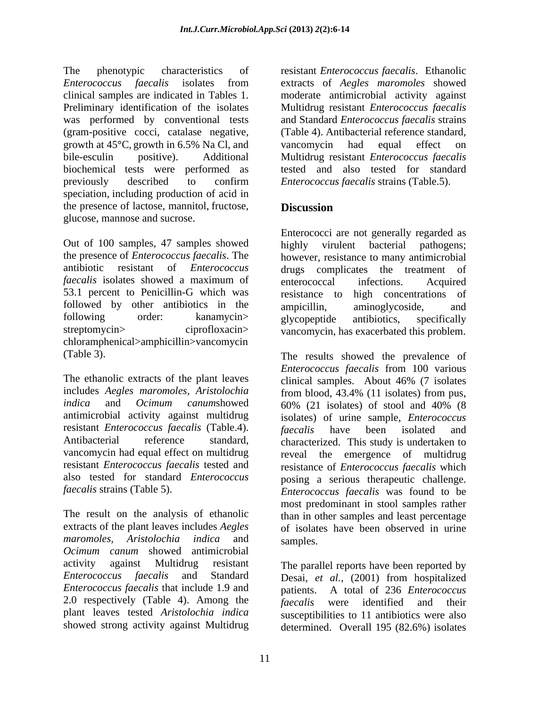The phenotypic characteristics of resistant *Enterococcus faecalis*. Ethanolic *Enterococcus faecalis* isolates from clinical samples are indicated in Tables 1. moderate antimicrobial activity against Preliminary identification of the isolates Multidrug resistant *Enterococcus faecalis* was performed by conventional tests (gram-positive cocci, catalase negative, growth at 45<sup>o</sup>C, growth in 6.5% Na Cl, and vancomycin had equal effect on bile-esculin positive). Additional Multidrug resistant *Enterococcus faecalis*  biochemical tests were performed as previously described to confirm *Enterococcus faecalis* strains (Table.5). speciation, including production of acid in the presence of lactose, mannitol, fructose, **Discussion** glucose, mannose and sucrose.

Out of 100 samples, 47 samples showed highly virulent bacterial pathogens; the presence of *Enterococcus faecalis*. The however, resistance to many antimicrobial antibiotic resistant of *Enterococcus*  drugs complicates the treatment of *faecalis* isolates showed a maximum of enterococcal infections. Acquired 53.1 percent to Penicillin-G which was resistance to high concentrations of followed by other antibiotics in the ampicillin, aminoglycoside, and following order: kanamycin> glycopeptide antibiotics, specifically streptomycin> ciprofloxacin> vancomycin, has exacerbated this problem. chloramphenical>amphicillin>vancomycin

The ethanolic extracts of the plant leaves clinical samples. About 46% (7 isolates includes *Aegles maromoles, Aristolochia*  from blood, 43.4% (11 isolates) from pus, *indica* and *Ocimum canum*showed antimicrobial activity against multidrug resistant *Enterococcus faecalis* (Table.4). *faecalis* have been isolated and Antibacterial reference standard, characterized. This study is undertaken to vancomycin had equal effect on multidrug reveal the emergence of multidrug resistant *Enterococcus faecalis* tested and resistance of *Enterococcus faecalis* which also tested for standard *Enterococcus*  posing a serious therapeutic challenge.

The result on the analysis of ethanolic than in other samples and least percentage extracts of the plant leaves includes *Aegles maromoles, Aristolochia indica* and *Ocimum canum* showed antimicrobial activity against Multidrug resistant The parallel reports have been reported by *Enterococcus faecalis* and Standard Desai, *et al.,* (2001) from hospitalized *Enterococcus faecalis* that include 1.9 and patients. A total of 236 *Enterococcus*  2.0 respectively (Table 4). Among the  $\int$  *faecalis* plant leaves tested *Aristolochia indica* susceptibilities to 11 antibiotics were also

extracts of *Aegles maromoles* showed and Standard *Enterococcus faecalis* strains (Table 4). Antibacterial reference standard, vancomycin had equal effect on tested and also tested for standard *Enterococcus faecalis* strains (Table.5).

# **Discussion**

Enterococci are not generally regarded as highly virulent bacterial pathogens; enterococcal infections. Acquired ampicillin, aminoglycoside, and glycopeptide antibiotics, specifically

(Table 3). The results showed the prevalence of *faecalis* strains (Table 5). *Enterococcus faecalis* was found to be *Enterococcus faecalis* from 100 various clinical samples. About 46% (7 isolates 60% (21 isolates) of stool and 40% (8 isolates) of urine sample, *Enterococcus faecalis* have been isolated and most predominant in stool samples rather of isolates have been observed in urine samples.

showed strong activity against Multidrug determined. Overall 195 (82.6%) isolateswere identified and their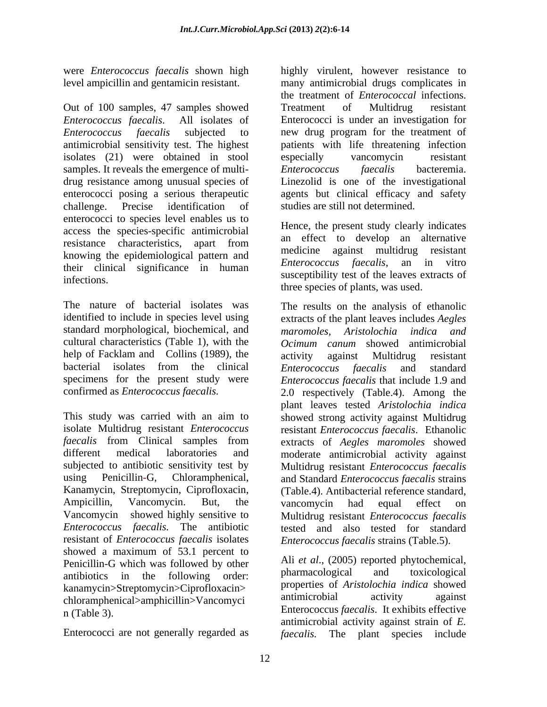level ampicillin and gentamicin resistant.

Out of 100 samples, 47 samples showed Treatment of Multidrug resistant *Enterococcus faecalis*. All isolates of Enterococci is under an investigation for *Enterococcus faecalis* subjected to new drug program for the treatment of antimicrobial sensitivity test. The highest patients with life threatening infection isolates (21) were obtained in stool samples. It reveals the emergence of multi-<br>
Enterococcus faecalis bacteremia. drug resistance among unusual species of enterococci posing a serious therapeutic enterococci posing a serious therapeutic agents but clinical efficacy and safety challenge. Precise identification of studies are still not determined. enterococci to species level enables us to access the species-specific antimicrobial resistance characteristics, apart from an effect to develop an alternative knowing the epidemiological pattern and their clinical significance in human infections.<br>
infections.

The nature of bacterial isolates was The results on the analysis of ethanolic identified to include in species level using extracts of the plant leaves includes *Aegles*  standard morphological, biochemical, and maromoles. Aristolochia indica and cultural characteristics (Table 1), with the *Ocimum canum* showed antimicrobial help of Facklam and Collins (1989), the activity against Multidrug resistant bacterial isolates from the clinical Enterococcus faecalis and standard specimens for the present study were *Enterococcus faecalis* that include 1.9 and

This study was carried with an aim to showed strong activity against Multidrug isolate Multidrug resistant *Enterococcus*  resistant *Enterococcus faecalis*. Ethanolic *faecalis* from Clinical samples from extracts of *Aegles maromoles* showed different medical laboratories and moderate antimicrobial activity against subjected to antibiotic sensitivity test by Multidrug resistant *Enterococcus faecalis* using Penicillin-G, Chloramphenical, and Standard *Enterococcus faecalis* strains Kanamycin, Streptomycin, Ciprofloxacin, (Table.4). Antibacterial reference standard, Ampicillin, Vancomycin. But, the Vancomycin showed highly sensitive to Multidrug resistant *Enterococcus faecalis Enterococcus faecalis.* The antibiotic resistant of *Enterococcus faecalis* isolates showed a maximum of 53.1 percent to Penicillin-G which was followed by other  $\begin{array}{c} \text{All } et \text{ al., } (2005) \text{ reported phytochemical,} \\ \text{antibotics } \text{ in } \text{ the } \text{ following } \text{ order} \end{array}$ antibiotics in the following order: kanamycin>Streptomycin>Ciprofloxacin> properties of *Aristolochia indica* showed<br>ablogambanical> amphicillips Vancomyci antimicrobial activity against chloramphenical>amphicillin>Vancomyci

were *Enterococcus faecalis* shown high highly virulent, however resistance to many antimicrobial drugs complicates in the treatment of *Enterococcal* infections. Treatment of Multidrug resistant especially vancomycin resistant *Enterococcus faecalis* bacteremia. Linezolid is one of the investigational studies are still not determined.

> Hence, the present study clearly indicates an effect to develop an alternative medicine against multidrug resistant *Enterococcus faecalis*, an in vitro three species of plants, was used.

confirmed as *Enterococcus faecalis.* 2.0 respectively (Table.4). Among the *maromoles, Aristolochia indica and* activity against Multidrug resistant *Enterococcus faecalis* and standard plant leaves tested *Aristolochia indica* vancomycin had equal effect on tested and also tested for standard *Enterococcus faecalis* strains (Table.5).

n (Table 3). Enterococcus *faecalis*. It exhibits effective Enterococci are not generally regarded as *faecalis.* The plant species includeAli *et al*., (2005) reported phytochemical, pharmacological and toxicological properties of *Aristolochia indica* showed antimicrobial activity against antimicrobial activity against strain of *E.*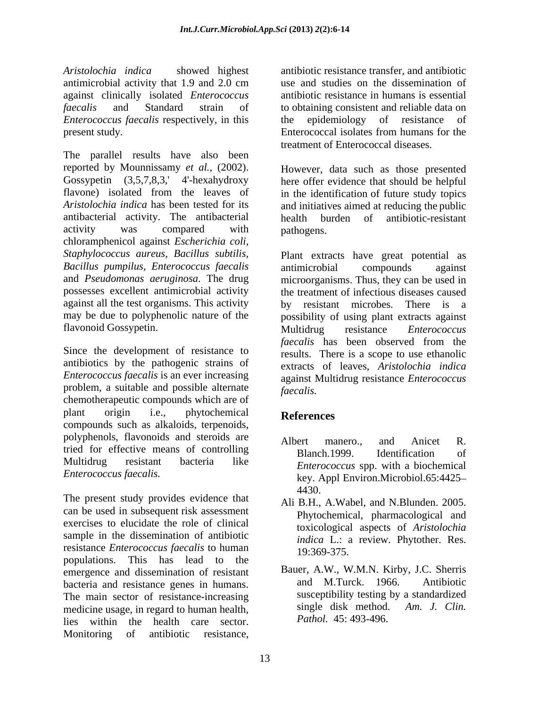*Aristolochia indica* showed highest antibiotic resistance transfer, and antibiotic antimicrobial activity that 1.9 and 2.0 cm against clinically isolated *Enterococcus faecalis* and Standard strain of to obtaining consistent and reliable data on *Enterococcus faecalis* respectively, in this the epidemiology of resistance of present study. Enterococcal isolates from humans for the

The parallel results have also been reported by Mounnissamy *et al.,* (2002). Gossypetin (3,5,7,8,3,' 4'-hexahydroxy here offer evidence that should be helpful flavone) isolated from the leaves of in the identification of future study topics *Aristolochia indica* has been tested for its and initiatives aimed at reducing the public antibacterial activity. The antibacterial activity was compared with pathogens. chloramphenicol against *Escherichia coli, Staphylococcus aureus, Bacillus subtilis,* Plant extracts have great potential as *Bacillus pumpilus, Enterococcus faecalis* and *Pseudomonas aeruginosa*. The drug microorganisms. Thus, they can be used in possesses excellent antimicrobial activity the treatment of infectious diseases caused against all the test organisms. This activity by resistant microbes. There is a may be due to polyphenolic nature of the possibility of using plant extracts against flavonoid Gossypetin. Multidrug resistance *Enterococcus* 

Since the development of resistance to antibiotics by the pathogenic strains of *Enterococcus faecalis* is an ever increasing problem, a suitable and possible alternate faecalis. chemotherapeutic compounds which are of plant origin i.e., phytochemical **References** plant origin i.e., phytochemical **References**<br>compounds such as alkaloids, terpenoids, polyphenols, flavonoids and steroids are <br>Albert manero... and Anicet R. tried for effective means of controlling<br>Blanch.1999. Identification of Multidrug resistant bacteria like *Enterococcus* spp. with a biochemical

The present study provides evidence that can be used in subsequent risk assessment exercises to elucidate the role of clinical sample in the dissemination of antibiotic resistance *Enterococcus faecalis* to human 19:369-375. populations. This has lead to the emergence and dissemination of resistant Bauer, A.W., W.M.N. Kirby, J.C. Sherris<br>had M.Turck 1966 Antibiotic bacteria and resistance genes in humans. The main sector of resistance-increasing medicine usage, in regard to human health, lies within the health care sector. Monitoring of antibiotic resistance,

use and studies on the dissemination of antibiotic resistance in humans is essential epidemiology of resistance Enterococcal isolates from humans for the treatment of Enterococcal diseases.

However, data such as those presented health burden of antibiotic-resistant pathogens.

antimicrobial compounds against by resistant microbes. There is Multidrug resistance *Enterococcus faecalis* has been observed from the results. There is a scope to use ethanolic extracts of leaves, *Aristolochia indica* against Multidrug resistance *Enterococcus faecalis.*

# **References**

- *Enterococcus faecalis.* key. Appl Environ.Microbiol.65:4425 Albert manero., and Anicet R. Blanch.1999. Identification of 4430.
	- Ali B.H., A.Wabel, and N.Blunden. 2005. Phytochemical, pharmacological and toxicological aspects of *Aristolochia indica* L.: a review. Phytother. Res. 19:369-375.
	- Bauer, A.W., W.M.N. Kirby, J.C. Sherris and M.Turck. 1966. Antibiotic susceptibility testing by a standardized single disk method. *Am. J. Clin. Pathol.* 45: 493-496.